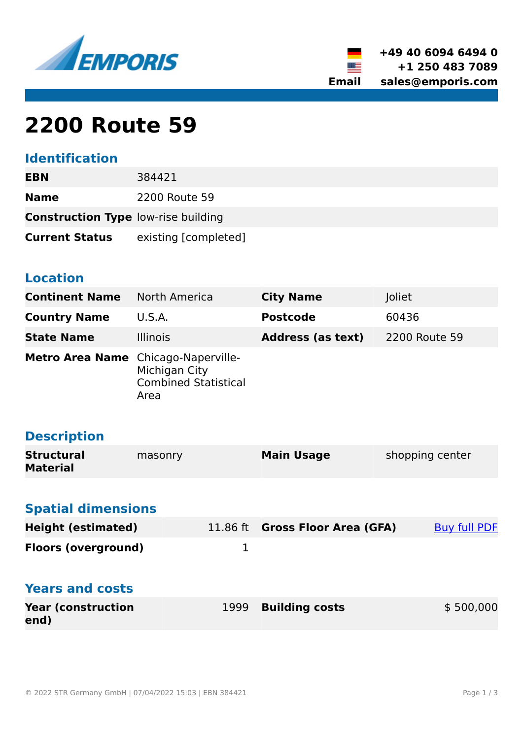



# **2200 Route 59**

# **Identification**

| EBN                                        | 384421               |
|--------------------------------------------|----------------------|
| <b>Name</b>                                | 2200 Route 59        |
| <b>Construction Type low-rise building</b> |                      |
| <b>Current Status</b>                      | existing [completed] |

### **Location**

**end)**

| <b>Continent Name</b>                | North America                                                               | <b>City Name</b>                | Joliet              |  |  |  |
|--------------------------------------|-----------------------------------------------------------------------------|---------------------------------|---------------------|--|--|--|
| <b>Country Name</b>                  | U.S.A.                                                                      | <b>Postcode</b>                 | 60436               |  |  |  |
| <b>State Name</b>                    | <b>Illinois</b>                                                             | <b>Address (as text)</b>        | 2200 Route 59       |  |  |  |
| <b>Metro Area Name</b>               | Chicago-Naperville-<br>Michigan City<br><b>Combined Statistical</b><br>Area |                                 |                     |  |  |  |
| <b>Description</b>                   |                                                                             |                                 |                     |  |  |  |
| <b>Structural</b><br><b>Material</b> | masonry                                                                     | <b>Main Usage</b>               | shopping center     |  |  |  |
|                                      |                                                                             |                                 |                     |  |  |  |
| <b>Spatial dimensions</b>            |                                                                             |                                 |                     |  |  |  |
| <b>Height (estimated)</b>            |                                                                             | 11.86 ft Gross Floor Area (GFA) | <b>Buy full PDF</b> |  |  |  |
| <b>Floors (overground)</b>           | $\mathbf{1}$                                                                |                                 |                     |  |  |  |
| <b>Years and costs</b>               |                                                                             |                                 |                     |  |  |  |
| <b>Year (construction</b>            | 1999                                                                        | <b>Building costs</b>           | \$500,000           |  |  |  |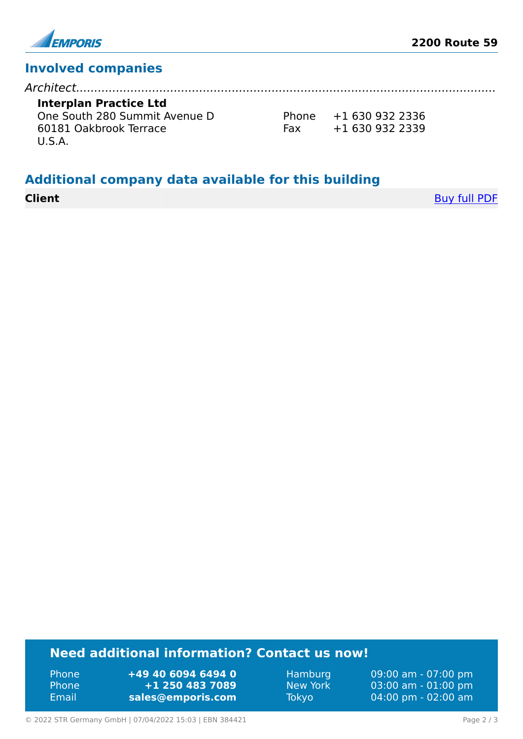

# **Involved companies**

| Interplan Practice Ltd        |     |                      |
|-------------------------------|-----|----------------------|
| One South 280 Summit Avenue D |     | Phone $+16309322336$ |
| 60181 Oakbrook Terrace        | Fax | +1 630 932 2339      |
| U.S.A.                        |     |                      |
|                               |     |                      |

### **Additional company data available for this building**

**Client** [Buy full PDF](https://www.emporis.com/buildings/384421/2200-route-59-joliet-il-usa?buypdf=)

# **Need additional information? Contact us now!**

Phone **+49 40 6094 6494 0** Phone **+1 250 483 7089** Email **<sales@emporis.com>**

Hamburg 09:00 am - 07:00 pm New York 03:00 am - 01:00 pm Tokyo 04:00 pm - 02:00 am

© 2022 STR Germany GmbH | 07/04/2022 15:03 | EBN 384421 Page 2 / 3